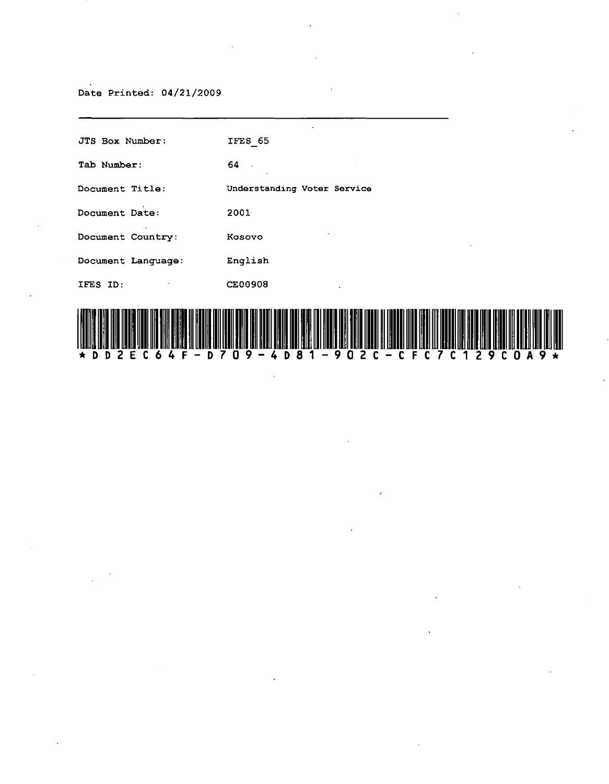### Date Printed: 04/21/2009

| JTS Box Number:              | IFES 65                     |
|------------------------------|-----------------------------|
| Tab Number:                  | 64.                         |
| Document Title:              | Understanding Voter Service |
| Document Date:               | 2001                        |
| $\cdot$<br>Document Country: | $\epsilon$<br>Kosovo        |
| Document Language:           | English                     |
| IFES ID:                     | <b>CE00908</b><br>$\bullet$ |
|                              |                             |

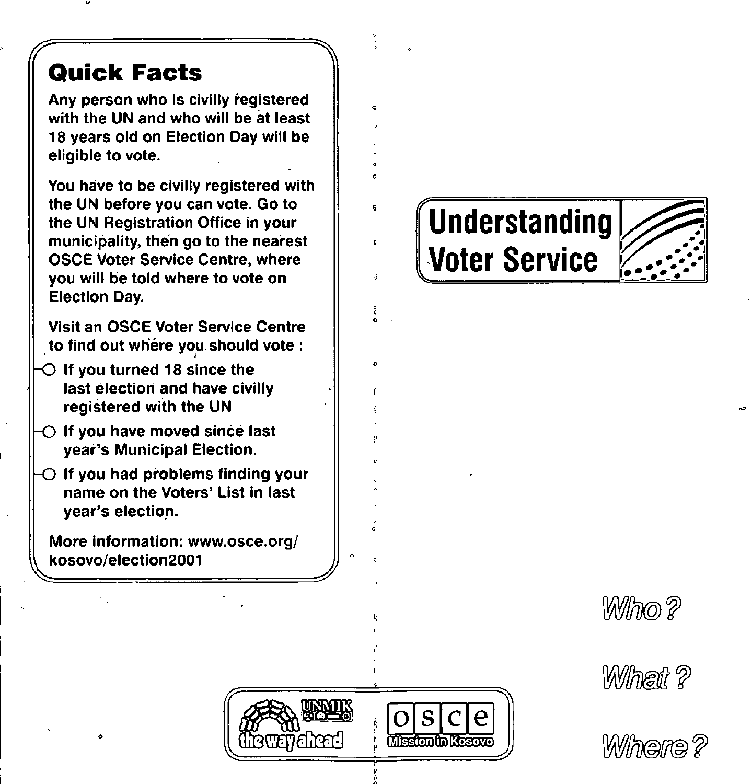### '7 **Quick Facts**

Any person who is civilly registered with the UN and who will be at least 18 years old on Election Day will be eligible to vote.

You have to be civilly registered with the UN before you can vote. Go to the UN Registration Office in your municipality, then go to the nearest OSCE Voter Service Centre, where you will be told where to vote on Election Day.

Visit an OSCE Voter Service Centre to find out where you should vote:

- $O$  If you turned 18 since the last election and have civilly registered with the UN
- $\bigcirc$  If you have moved since last year's Municipal Election.
- $\bigcirc$  If you had problems finding your name on the Voters' List in last year's election.

More information: www.osce.org/ ~ kosovo/election2001

o

# **Understanding Voter Service**









 $\frac{a}{6}$ .<br>.<br>.

o •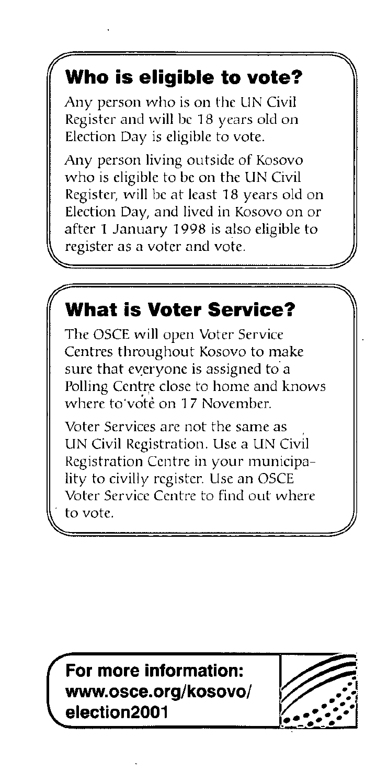#### *1/*  **Who is eligible to vote?**

Any person who is on the UN Civil Register and will be 18 years old on Election Day is eligible to vote.

Any person living outside of Kosovo who is eligible to be on the UN Civil Register, will be at least 18 years old on Election Day, and lived in Kosovo on or after 1 January 1998 is also eligible to register as a voter and vote.

## **What is Voter Service?**

The OSCE will open Voter Service Centres throughout Kosovo to make sure that everyone is assigned to a Polling Centre close to home and knows where to vote on 17 November.

Voter Services are not the same as UN Civil Registration. Use a UN Civil Registration Centre in your municipality to civilly register. Use an OSCE Voter Service Centre to find out where to vote.

**For more information: www.osce.org/kosovo/ election2001** 

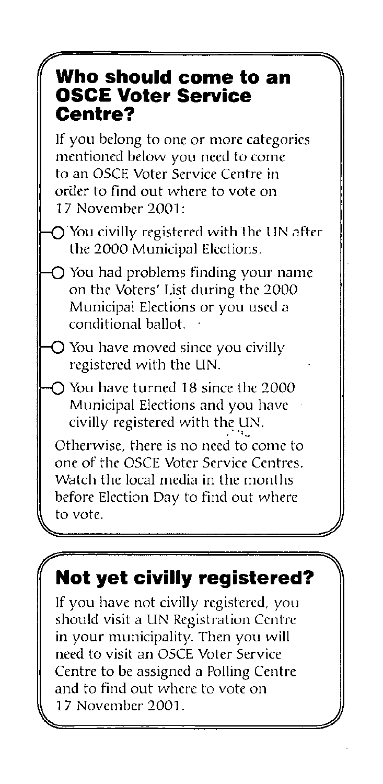### $\mathcal C$ **Who should come to an OSCE Voter Service Centre?**

If you belong to one or more categories mentioned below you need to come to an OSCE Voter *Service* Centre in oraer to find out where to *vote* on 17 November 2001:

 $\bigcap$  You civilly registered with the UN after the 2000 Municipal Elections.

 $O$  You had problems finding your name on the Voters' List during the 2000 Municipal Elections or you used a conditional ballot.

) You have moved since you civilly registered with the LIN.

 $\bigcap$  You have turned 18 since the 2000 Municipal Elections and you have *civilly* registered with the LIN.

Otherwise, there is no need to come to one of the OSCE Voter Service Centres. Watch the local media in the months before Election Day to find out where to *vote.*  $\sqrt{2\pi r^2\left(\frac{r}{r}\right)^2\left(\frac{r}{r}\right)^2\left(\frac{r}{r}\right)^2\left(\frac{r}{r}\right)^2\left(\frac{r}{r}\right)^2\left(\frac{r}{r}\right)^2\left(\frac{r}{r}\right)^2\left(\frac{r}{r}\right)^2\left(\frac{r}{r}\right)^2\left(\frac{r}{r}\right)^2\left(\frac{r}{r}\right)^2\left(\frac{r}{r}\right)^2\left(\frac{r}{r}\right)^2\left(\frac{r}{r}\right)^2\left(\frac{r}{r}\right)^2\left(\frac{r}{r}\right)^2\left(\frac{r}{r}\right)^2\left(\frac{r}{$ 

## $^{\prime}$  Not yet civilly registered?  $\; \rangle \rangle$

If you have not *civilly* registered, you should visit a UN Registration Centre in your municipality. Then you will need to visit an OSCE Voter Service Centre to be assigned a Polling Centre and to find out where to *vote* on 17 November 2001. ~ A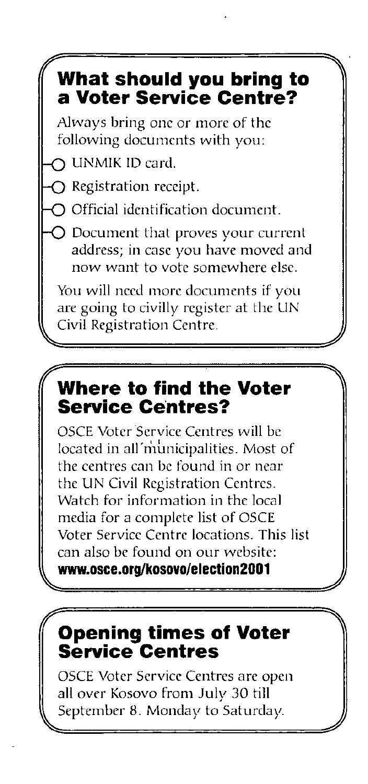## **What should you bring to a Voter Service Centre?**

Always bring one or more of the following documents with you:

-0 UNMlK ID card.

,y-

 $\bigcap$  Registration receipt.

 $\bigcirc$  Official identification document.

 $\bigcirc$  Document that proves your current address; in case you have moved and now want to vote somewhere else.

You will need more documents if you are going to civilly register at the LIN Civil Registration Centre.

 $~\sim~$ 

### $\sqrt{y}$ **Where to find the Voter Service Centres?**

OSCE Voter Service Centres will be located in all'municipalities. Most of the centres can be found in or near the UN Civil Registration Centres. Watch for information in the local media for a complete list of OSCE Voter Service Centre locations. This list can also be found on our website: **www.osce.org/kosoYo/election2001** 

~ *A* 

## **Opening times of Voter Service Centres**

OSCE Voter Service Centres are open all over Kosovo from July 30 till September 8. Monday to Saturday.